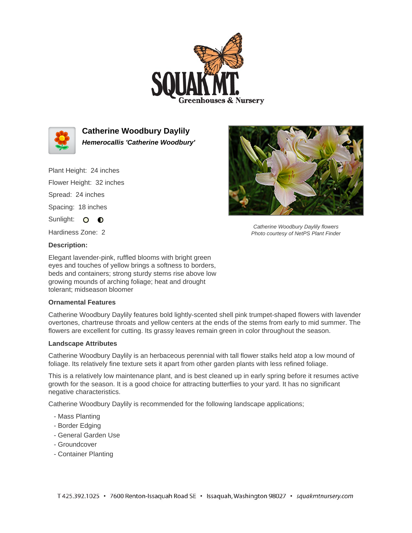



**Catherine Woodbury Daylily Hemerocallis 'Catherine Woodbury'**

Plant Height: 24 inches Flower Height: 32 inches Spread: 24 inches Spacing: 18 inches

Sunlight: O O

Hardiness Zone: 2

Catherine Woodbury Daylily flowers Photo courtesy of NetPS Plant Finder

# **Description:**

Elegant lavender-pink, ruffled blooms with bright green eyes and touches of yellow brings a softness to borders, beds and containers; strong sturdy stems rise above low growing mounds of arching foliage; heat and drought tolerant; midseason bloomer

## **Ornamental Features**

Catherine Woodbury Daylily features bold lightly-scented shell pink trumpet-shaped flowers with lavender overtones, chartreuse throats and yellow centers at the ends of the stems from early to mid summer. The flowers are excellent for cutting. Its grassy leaves remain green in color throughout the season.

## **Landscape Attributes**

Catherine Woodbury Daylily is an herbaceous perennial with tall flower stalks held atop a low mound of foliage. Its relatively fine texture sets it apart from other garden plants with less refined foliage.

This is a relatively low maintenance plant, and is best cleaned up in early spring before it resumes active growth for the season. It is a good choice for attracting butterflies to your yard. It has no significant negative characteristics.

Catherine Woodbury Daylily is recommended for the following landscape applications;

- Mass Planting
- Border Edging
- General Garden Use
- Groundcover
- Container Planting